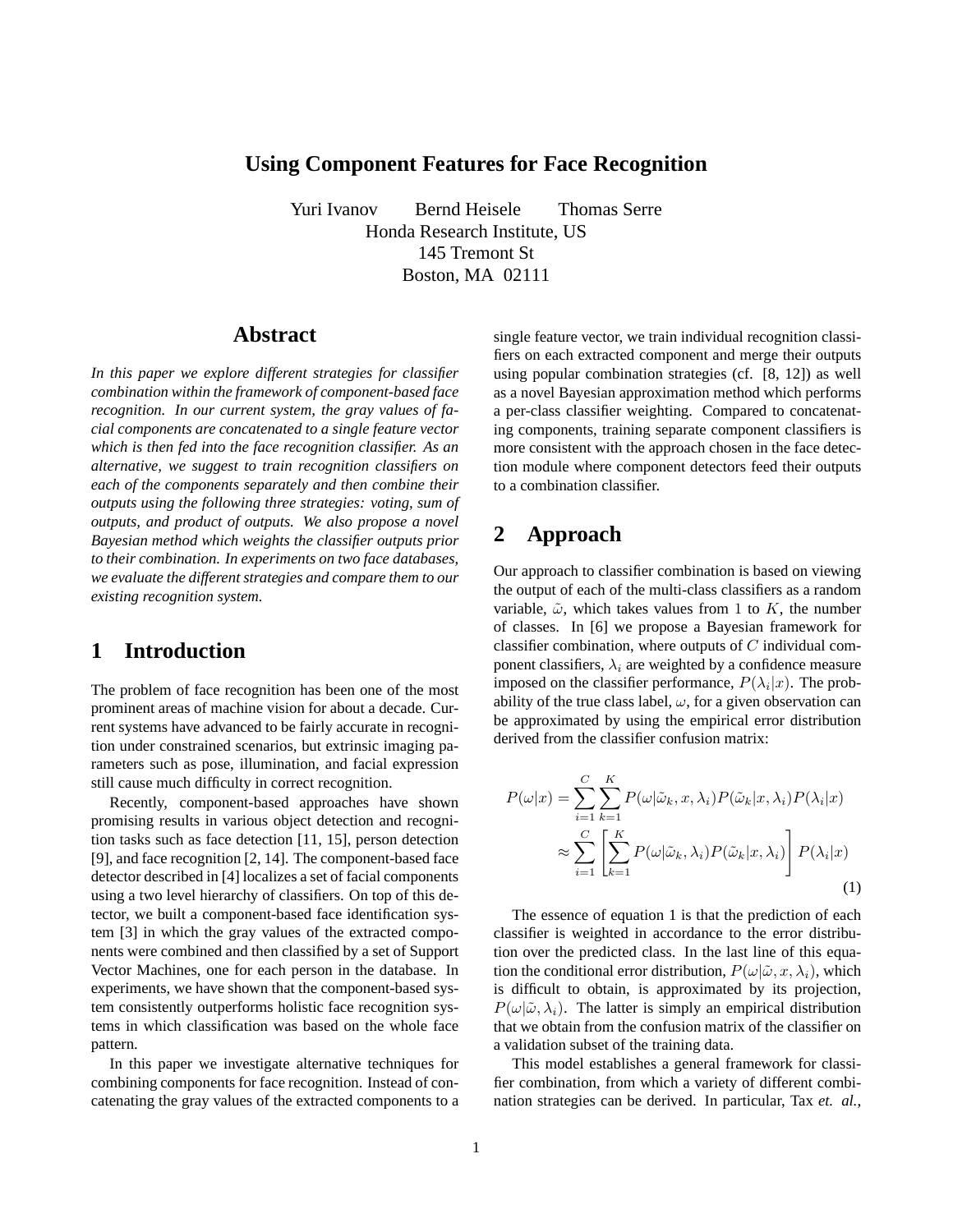## **Using Component Features for Face Recognition**

Yuri Ivanov Bernd Heisele Thomas Serre Honda Research Institute, US 145 Tremont St Boston, MA 02111

## **Abstract**

*In this paper we explore different strategies for classifier combination within the framework of component-based face recognition. In our current system, the gray values of facial components are concatenated to a single feature vector which is then fed into the face recognition classifier. As an alternative, we suggest to train recognition classifiers on each of the components separately and then combine their outputs using the following three strategies: voting, sum of outputs, and product of outputs. We also propose a novel Bayesian method which weights the classifier outputs prior to their combination. In experiments on two face databases, we evaluate the different strategies and compare them to our existing recognition system.*

# **1 Introduction**

The problem of face recognition has been one of the most prominent areas of machine vision for about a decade. Current systems have advanced to be fairly accurate in recognition under constrained scenarios, but extrinsic imaging parameters such as pose, illumination, and facial expression still cause much difficulty in correct recognition.

Recently, component-based approaches have shown promising results in various object detection and recognition tasks such as face detection [11, 15], person detection [9], and face recognition [2, 14]. The component-based face detector described in [4] localizes a set of facial components using a two level hierarchy of classifiers. On top of this detector, we built a component-based face identification system [3] in which the gray values of the extracted components were combined and then classified by a set of Support Vector Machines, one for each person in the database. In experiments, we have shown that the component-based system consistently outperforms holistic face recognition systems in which classification was based on the whole face pattern.

In this paper we investigate alternative techniques for combining components for face recognition. Instead of concatenating the gray values of the extracted components to a single feature vector, we train individual recognition classifiers on each extracted component and merge their outputs using popular combination strategies (cf. [8, 12]) as well as a novel Bayesian approximation method which performs a per-class classifier weighting. Compared to concatenating components, training separate component classifiers is more consistent with the approach chosen in the face detection module where component detectors feed their outputs to a combination classifier.

# **2 Approach**

Our approach to classifier combination is based on viewing the output of each of the multi-class classifiers as a random variable,  $\tilde{\omega}$ , which takes values from 1 to K, the number of classes. In [6] we propose a Bayesian framework for classifier combination, where outputs of  $C$  individual component classifiers,  $\lambda_i$  are weighted by a confidence measure imposed on the classifier performance,  $P(\lambda_i|x)$ . The probability of the true class label,  $\omega$ , for a given observation can be approximated by using the empirical error distribution derived from the classifier confusion matrix:

$$
P(\omega|x) = \sum_{i=1}^{C} \sum_{k=1}^{K} P(\omega|\tilde{\omega}_k, x, \lambda_i) P(\tilde{\omega}_k|x, \lambda_i) P(\lambda_i|x)
$$

$$
\approx \sum_{i=1}^{C} \left[ \sum_{k=1}^{K} P(\omega|\tilde{\omega}_k, \lambda_i) P(\tilde{\omega}_k|x, \lambda_i) \right] P(\lambda_i|x)
$$
(1)

The essence of equation 1 is that the prediction of each classifier is weighted in accordance to the error distribution over the predicted class. In the last line of this equation the conditional error distribution,  $P(\omega|\tilde{\omega}, x, \lambda_i)$ , which is difficult to obtain, is approximated by its projection,  $P(\omega|\tilde{\omega}, \lambda_i)$ . The latter is simply an empirical distribution that we obtain from the confusion matrix of the classifier on a validation subset of the training data.

This model establishes a general framework for classifier combination, from which a variety of different combination strategies can be derived. In particular, Tax *et. al.*,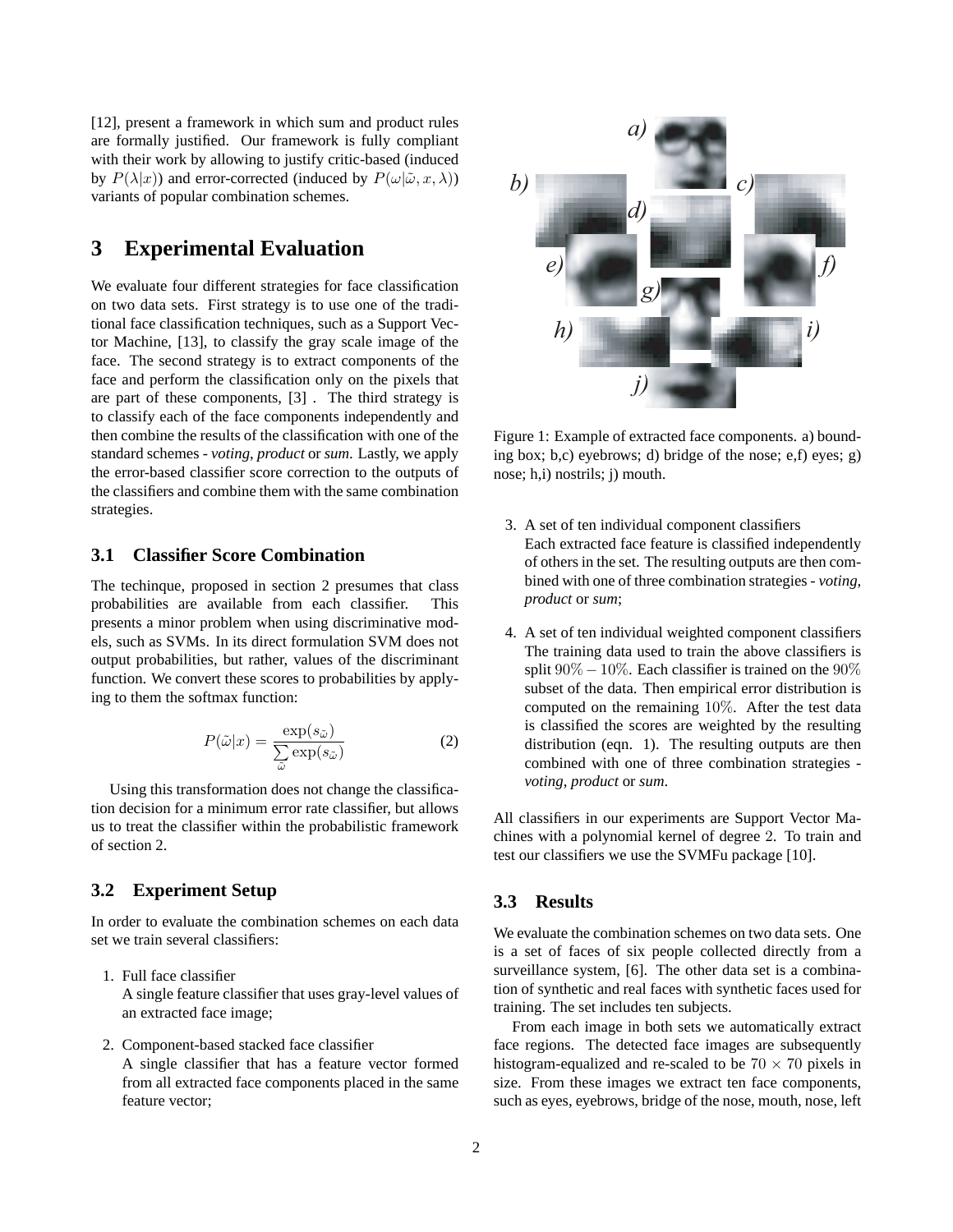[12], present a framework in which sum and product rules are formally justified. Our framework is fully compliant with their work by allowing to justify critic-based (induced by  $P(\lambda|x)$  and error-corrected (induced by  $P(\omega|\tilde{\omega}, x, \lambda)$ ) variants of popular combination schemes.

# **3 Experimental Evaluation**

We evaluate four different strategies for face classification on two data sets. First strategy is to use one of the traditional face classification techniques, such as a Support Vector Machine, [13], to classify the gray scale image of the face. The second strategy is to extract components of the face and perform the classification only on the pixels that are part of these components, [3] . The third strategy is to classify each of the face components independently and then combine the results of the classification with one of the standard schemes - *voting*, *product* or *sum*. Lastly, we apply the error-based classifier score correction to the outputs of the classifiers and combine them with the same combination strategies.

### **3.1 Classifier Score Combination**

The techinque, proposed in section 2 presumes that class probabilities are available from each classifier. This presents a minor problem when using discriminative models, such as SVMs. In its direct formulation SVM does not output probabilities, but rather, values of the discriminant function. We convert these scores to probabilities by applying to them the softmax function:

$$
P(\tilde{\omega}|x) = \frac{\exp(s_{\tilde{\omega}})}{\sum_{\tilde{\omega}} \exp(s_{\tilde{\omega}})}\tag{2}
$$

Using this transformation does not change the classification decision for a minimum error rate classifier, but allows us to treat the classifier within the probabilistic framework of section 2.

### **3.2 Experiment Setup**

In order to evaluate the combination schemes on each data set we train several classifiers:

- 1. Full face classifier A single feature classifier that uses gray-level values of an extracted face image;
- 2. Component-based stacked face classifier A single classifier that has a feature vector formed from all extracted face components placed in the same feature vector;



Figure 1: Example of extracted face components. a) bounding box; b,c) eyebrows; d) bridge of the nose; e,f) eyes; g) nose; h,i) nostrils; j) mouth.

- 3. A set of ten individual component classifiers Each extracted face feature is classified independently of others in the set. The resulting outputs are then combined with one of three combination strategies - *voting*, *product* or *sum*;
- 4. A set of ten individual weighted component classifiers The training data used to train the above classifiers is split  $90\% - 10\%$ . Each classifier is trained on the  $90\%$ subset of the data. Then empirical error distribution is computed on the remaining 10%. After the test data is classified the scores are weighted by the resulting distribution (eqn. 1). The resulting outputs are then combined with one of three combination strategies *voting*, *product* or *sum*.

All classifiers in our experiments are Support Vector Machines with a polynomial kernel of degree 2. To train and test our classifiers we use the SVMFu package [10].

### **3.3 Results**

We evaluate the combination schemes on two data sets. One is a set of faces of six people collected directly from a surveillance system, [6]. The other data set is a combination of synthetic and real faces with synthetic faces used for training. The set includes ten subjects.

From each image in both sets we automatically extract face regions. The detected face images are subsequently histogram-equalized and re-scaled to be  $70 \times 70$  pixels in size. From these images we extract ten face components, such as eyes, eyebrows, bridge of the nose, mouth, nose, left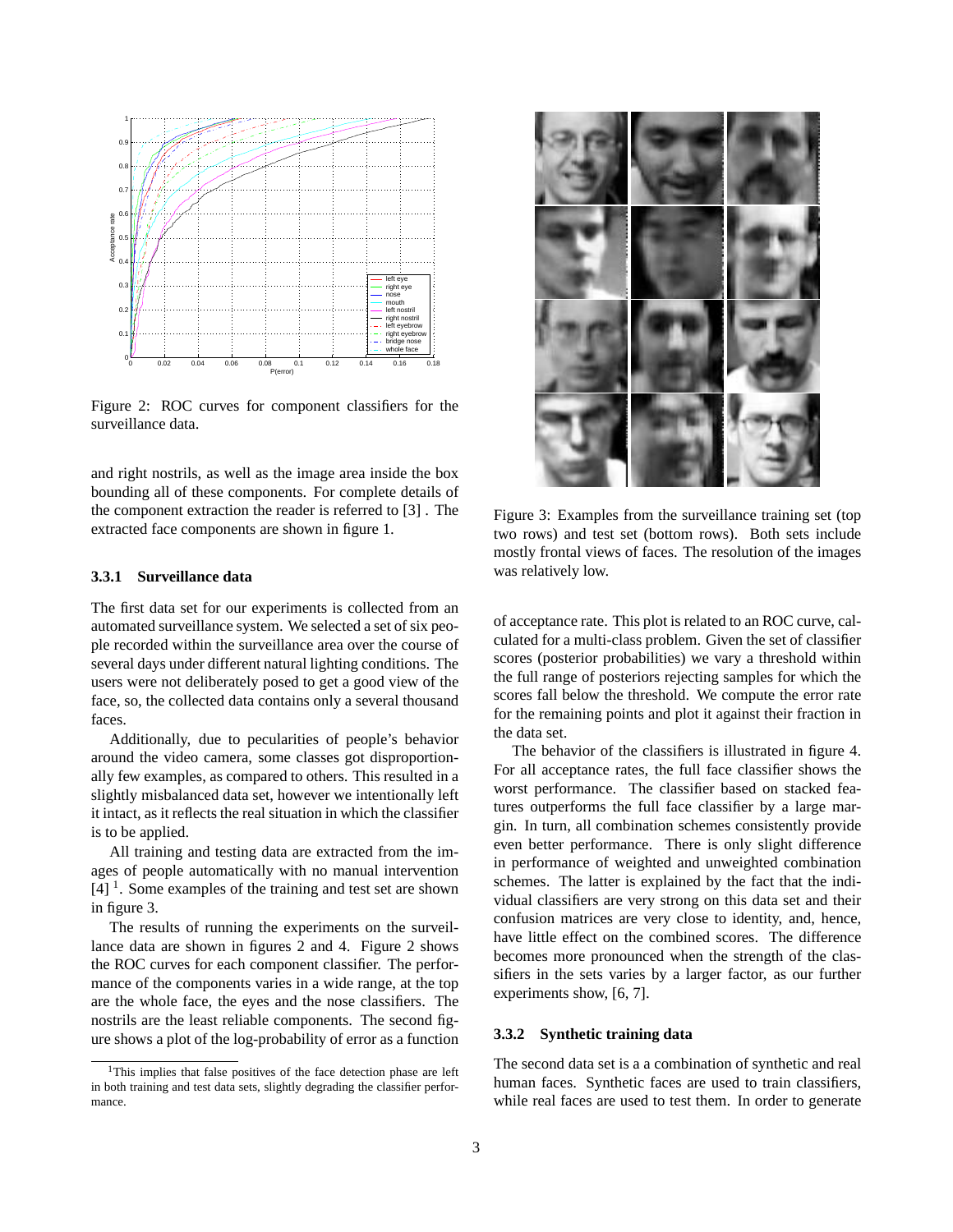

Figure 2: ROC curves for component classifiers for the surveillance data.

and right nostrils, as well as the image area inside the box bounding all of these components. For complete details of the component extraction the reader is referred to [3] . The extracted face components are shown in figure 1.

#### **3.3.1 Surveillance data**

The first data set for our experiments is collected from an automated surveillance system. We selected a set of six people recorded within the surveillance area over the course of several days under different natural lighting conditions. The users were not deliberately posed to get a good view of the face, so, the collected data contains only a several thousand faces.

Additionally, due to pecularities of people's behavior around the video camera, some classes got disproportionally few examples, as compared to others. This resulted in a slightly misbalanced data set, however we intentionally left it intact, as it reflects the real situation in which the classifier is to be applied.

All training and testing data are extracted from the images of people automatically with no manual intervention  $[4]$ <sup>1</sup>. Some examples of the training and test set are shown in figure 3.

The results of running the experiments on the surveillance data are shown in figures 2 and 4. Figure 2 shows the ROC curves for each component classifier. The performance of the components varies in a wide range, at the top are the whole face, the eyes and the nose classifiers. The nostrils are the least reliable components. The second figure shows a plot of the log-probability of error as a function



Figure 3: Examples from the surveillance training set (top two rows) and test set (bottom rows). Both sets include mostly frontal views of faces. The resolution of the images was relatively low.

of acceptance rate. This plot is related to an ROC curve, calculated for a multi-class problem. Given the set of classifier scores (posterior probabilities) we vary a threshold within the full range of posteriors rejecting samples for which the scores fall below the threshold. We compute the error rate for the remaining points and plot it against their fraction in the data set.

The behavior of the classifiers is illustrated in figure 4. For all acceptance rates, the full face classifier shows the worst performance. The classifier based on stacked features outperforms the full face classifier by a large margin. In turn, all combination schemes consistently provide even better performance. There is only slight difference in performance of weighted and unweighted combination schemes. The latter is explained by the fact that the individual classifiers are very strong on this data set and their confusion matrices are very close to identity, and, hence, have little effect on the combined scores. The difference becomes more pronounced when the strength of the classifiers in the sets varies by a larger factor, as our further experiments show, [6, 7].

#### **3.3.2 Synthetic training data**

The second data set is a a combination of synthetic and real human faces. Synthetic faces are used to train classifiers, while real faces are used to test them. In order to generate

<sup>&</sup>lt;sup>1</sup>This implies that false positives of the face detection phase are left in both training and test data sets, slightly degrading the classifier performance.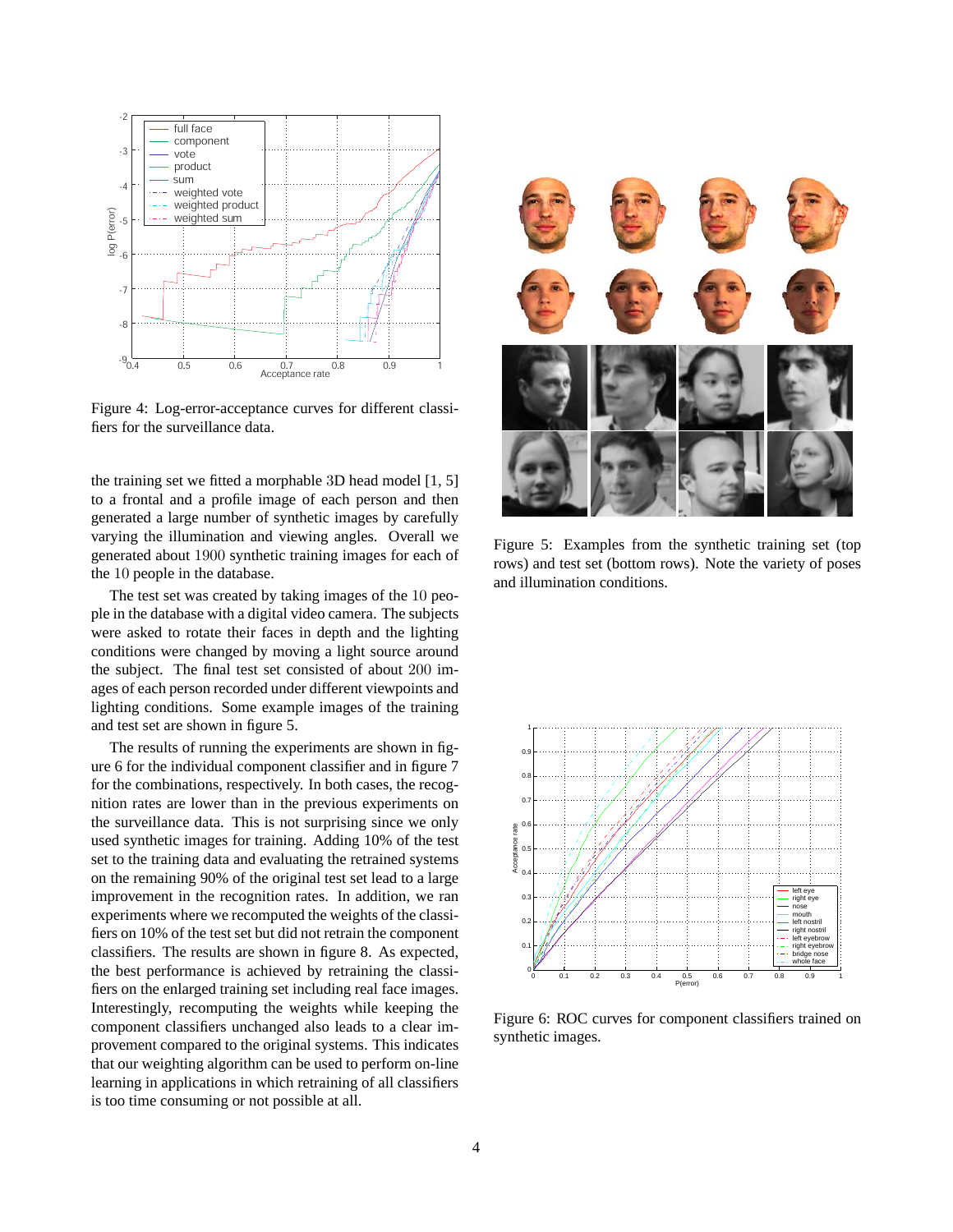

Figure 4: Log-error-acceptance curves for different classifiers for the surveillance data.

the training set we fitted a morphable 3D head model [1, 5] to a frontal and a profile image of each person and then generated a large number of synthetic images by carefully varying the illumination and viewing angles. Overall we generated about 1900 synthetic training images for each of the 10 people in the database.

The test set was created by taking images of the 10 people in the database with a digital video camera. The subjects were asked to rotate their faces in depth and the lighting conditions were changed by moving a light source around the subject. The final test set consisted of about 200 images of each person recorded under different viewpoints and lighting conditions. Some example images of the training and test set are shown in figure 5.

The results of running the experiments are shown in figure 6 for the individual component classifier and in figure 7 for the combinations, respectively. In both cases, the recognition rates are lower than in the previous experiments on the surveillance data. This is not surprising since we only used synthetic images for training. Adding 10% of the test set to the training data and evaluating the retrained systems on the remaining 90% of the original test set lead to a large improvement in the recognition rates. In addition, we ran experiments where we recomputed the weights of the classifiers on 10% of the test set but did not retrain the component classifiers. The results are shown in figure 8. As expected, the best performance is achieved by retraining the classifiers on the enlarged training set including real face images. Interestingly, recomputing the weights while keeping the component classifiers unchanged also leads to a clear improvement compared to the original systems. This indicates that our weighting algorithm can be used to perform on-line learning in applications in which retraining of all classifiers is too time consuming or not possible at all.



Figure 5: Examples from the synthetic training set (top rows) and test set (bottom rows). Note the variety of poses and illumination conditions.



Figure 6: ROC curves for component classifiers trained on synthetic images.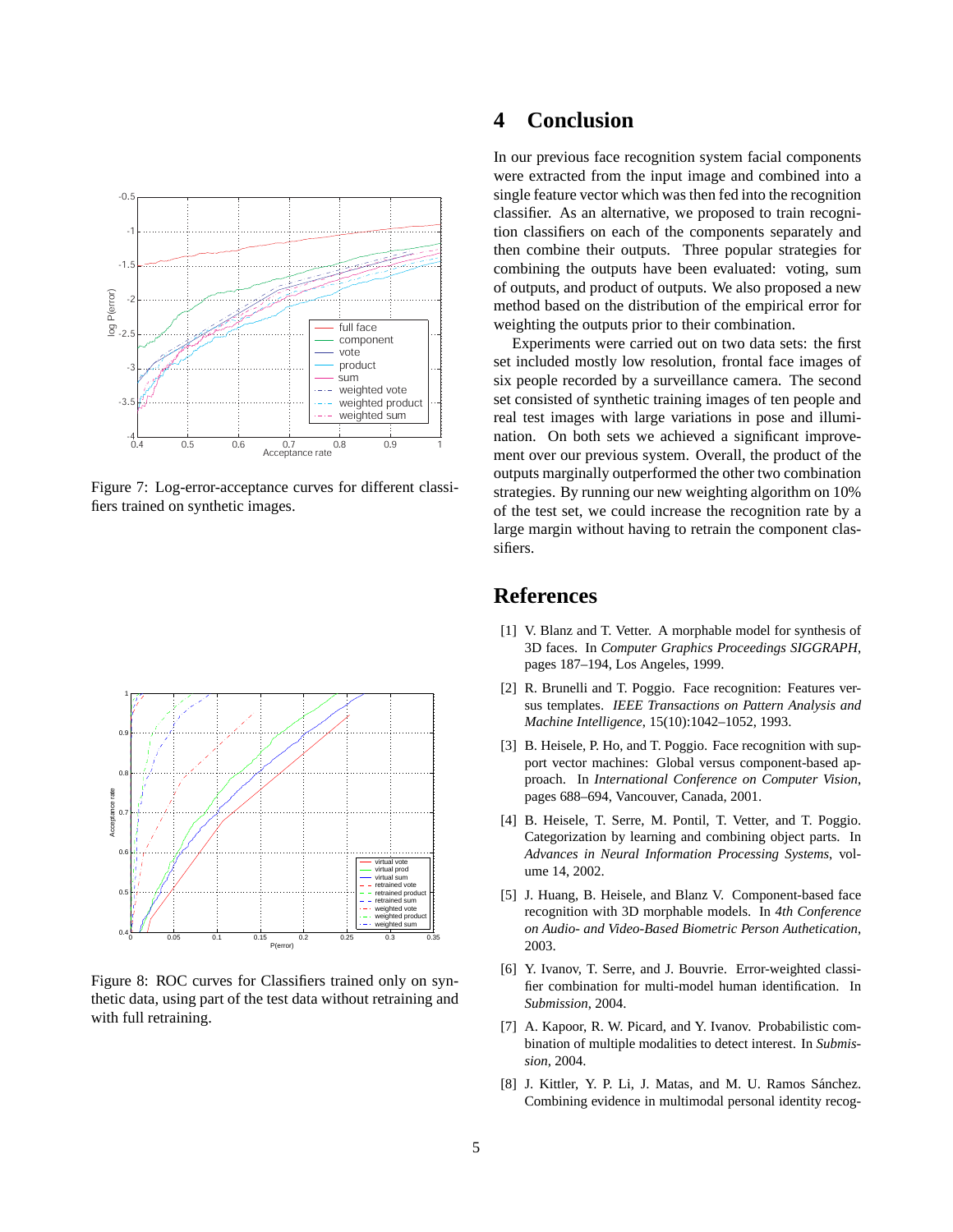

Figure 7: Log-error-acceptance curves for different classifiers trained on synthetic images.



Figure 8: ROC curves for Classifiers trained only on synthetic data, using part of the test data without retraining and with full retraining.

# **4 Conclusion**

In our previous face recognition system facial components were extracted from the input image and combined into a single feature vector which was then fed into the recognition classifier. As an alternative, we proposed to train recognition classifiers on each of the components separately and then combine their outputs. Three popular strategies for combining the outputs have been evaluated: voting, sum of outputs, and product of outputs. We also proposed a new method based on the distribution of the empirical error for weighting the outputs prior to their combination.

Experiments were carried out on two data sets: the first set included mostly low resolution, frontal face images of six people recorded by a surveillance camera. The second set consisted of synthetic training images of ten people and real test images with large variations in pose and illumination. On both sets we achieved a significant improvement over our previous system. Overall, the product of the outputs marginally outperformed the other two combination strategies. By running our new weighting algorithm on 10% of the test set, we could increase the recognition rate by a large margin without having to retrain the component classifiers.

## **References**

- [1] V. Blanz and T. Vetter. A morphable model for synthesis of 3D faces. In *Computer Graphics Proceedings SIGGRAPH*, pages 187–194, Los Angeles, 1999.
- [2] R. Brunelli and T. Poggio. Face recognition: Features versus templates. *IEEE Transactions on Pattern Analysis and Machine Intelligence*, 15(10):1042–1052, 1993.
- [3] B. Heisele, P. Ho, and T. Poggio. Face recognition with support vector machines: Global versus component-based approach. In *International Conference on Computer Vision*, pages 688–694, Vancouver, Canada, 2001.
- [4] B. Heisele, T. Serre, M. Pontil, T. Vetter, and T. Poggio. Categorization by learning and combining object parts. In *Advances in Neural Information Processing Systems*, volume 14, 2002.
- [5] J. Huang, B. Heisele, and Blanz V. Component-based face recognition with 3D morphable models. In *4th Conference on Audio- and Video-Based Biometric Person Authetication*, 2003.
- [6] Y. Ivanov, T. Serre, and J. Bouvrie. Error-weighted classifier combination for multi-model human identification. In *Submission*, 2004.
- [7] A. Kapoor, R. W. Picard, and Y. Ivanov. Probabilistic combination of multiple modalities to detect interest. In *Submission*, 2004.
- [8] J. Kittler, Y. P. Li, J. Matas, and M. U. Ramos Sánchez. Combining evidence in multimodal personal identity recog-